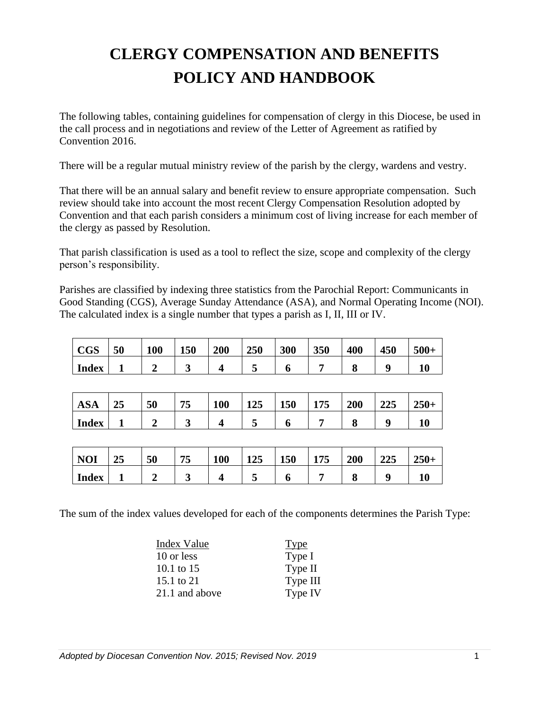# **CLERGY COMPENSATION AND BENEFITS POLICY AND HANDBOOK**

The following tables, containing guidelines for compensation of clergy in this Diocese, be used in the call process and in negotiations and review of the Letter of Agreement as ratified by Convention 2016.

There will be a regular mutual ministry review of the parish by the clergy, wardens and vestry.

That there will be an annual salary and benefit review to ensure appropriate compensation. Such review should take into account the most recent Clergy Compensation Resolution adopted by Convention and that each parish considers a minimum cost of living increase for each member of the clergy as passed by Resolution.

That parish classification is used as a tool to reflect the size, scope and complexity of the clergy person's responsibility.

Parishes are classified by indexing three statistics from the Parochial Report: Communicants in Good Standing (CGS), Average Sunday Attendance (ASA), and Normal Operating Income (NOI). The calculated index is a single number that types a parish as I, II, III or IV.

| <b>CGS</b>   | 50 | 100 | 150 | 200 | 250 | 300 | 350 | 400 | 450 | $500+$ |
|--------------|----|-----|-----|-----|-----|-----|-----|-----|-----|--------|
| <b>Index</b> |    |     | ັ   |     | ັ   |     |     |     |     |        |

| $\cdot$ $\sim$ $\cdot$<br>ASA | $\sim$ $\sim$<br>45 | 50 | --<br>ن ر | 100 | 125 | <b>150</b> | 1 <i>25</i><br>113 | 200 | $\bigcap_{n\in\mathbb{N}}$<br>443 | ኅሮሰ<br>$250+$ |
|-------------------------------|---------------------|----|-----------|-----|-----|------------|--------------------|-----|-----------------------------------|---------------|
| Index                         |                     |    |           |     |     | ч.         |                    | u   |                                   |               |

| <b>NOI</b>   | 40 | 50 | — —<br>ູ | <b>100</b> | 125<br>145 | 150 | 175<br>115 | 200 | $\bigcap_{n\in\mathbb{N}}$<br>443 | $250+$ |
|--------------|----|----|----------|------------|------------|-----|------------|-----|-----------------------------------|--------|
| <b>Index</b> |    |    | ັ        |            |            |     |            |     |                                   | 10     |

The sum of the index values developed for each of the components determines the Parish Type:

| Index Value    | Type     |
|----------------|----------|
| 10 or less     | Type I   |
| 10.1 to 15     | Type II  |
| 15.1 to 21     | Type III |
| 21.1 and above | Type IV  |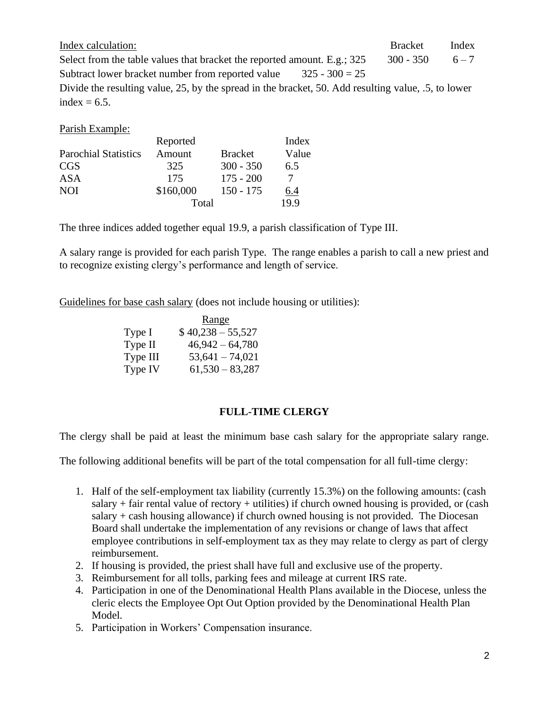| Index calculation:                                                                                  | <b>Bracket</b> | Index   |
|-----------------------------------------------------------------------------------------------------|----------------|---------|
| Select from the table values that bracket the reported amount. E.g.; 325                            | $300 - 350$    | $6 - 7$ |
| Subtract lower bracket number from reported value<br>$325 - 300 = 25$                               |                |         |
| Divide the resulting value, 25, by the spread in the bracket, 50. Add resulting value, .5, to lower |                |         |
| index $= 6.5$ .                                                                                     |                |         |

Parish Example:

|                             | Reported  |                | Index |
|-----------------------------|-----------|----------------|-------|
| <b>Parochial Statistics</b> | Amount    | <b>Bracket</b> | Value |
| <b>CGS</b>                  | 325       | $300 - 350$    | 6.5   |
| ASA                         | 175       | $175 - 200$    | 7     |
| <b>NOI</b>                  | \$160,000 | $150 - 175$    | 6.4   |
|                             | Total     |                | 19.9  |

The three indices added together equal 19.9, a parish classification of Type III.

A salary range is provided for each parish Type. The range enables a parish to call a new priest and to recognize existing clergy's performance and length of service.

Guidelines for base cash salary (does not include housing or utilities):

|          | <u>Range</u>       |
|----------|--------------------|
| Type I   | $$40,238 - 55,527$ |
| Type II  | $46,942 - 64,780$  |
| Type III | $53,641 - 74,021$  |
| Type IV  | $61,530 - 83,287$  |

### **FULL-TIME CLERGY**

The clergy shall be paid at least the minimum base cash salary for the appropriate salary range.

The following additional benefits will be part of the total compensation for all full-time clergy:

- 1. Half of the self-employment tax liability (currently 15.3%) on the following amounts: (cash salary  $+$  fair rental value of rectory  $+$  utilities) if church owned housing is provided, or (cash salary  $+$  cash housing allowance) if church owned housing is not provided. The Diocesan Board shall undertake the implementation of any revisions or change of laws that affect employee contributions in self-employment tax as they may relate to clergy as part of clergy reimbursement.
- 2. If housing is provided, the priest shall have full and exclusive use of the property.
- 3. Reimbursement for all tolls, parking fees and mileage at current IRS rate.
- 4. Participation in one of the Denominational Health Plans available in the Diocese, unless the cleric elects the Employee Opt Out Option provided by the Denominational Health Plan Model.
- 5. Participation in Workers' Compensation insurance.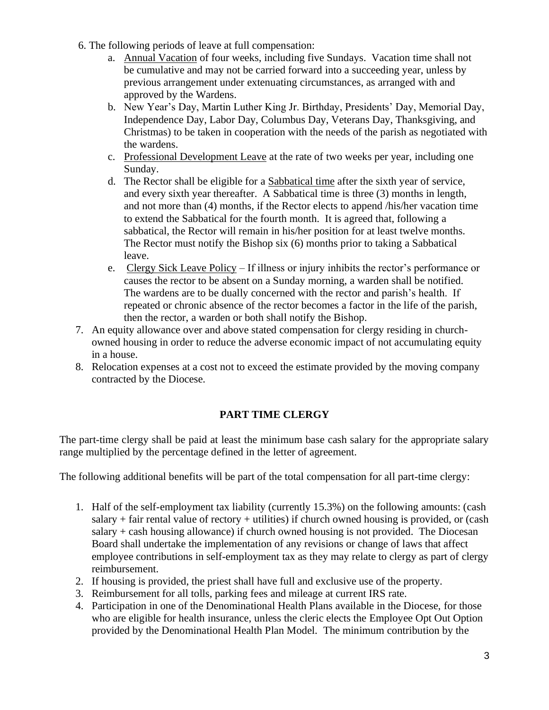- 6. The following periods of leave at full compensation:
	- a. Annual Vacation of four weeks, including five Sundays. Vacation time shall not be cumulative and may not be carried forward into a succeeding year, unless by previous arrangement under extenuating circumstances, as arranged with and approved by the Wardens.
	- b. New Year's Day, Martin Luther King Jr. Birthday, Presidents' Day, Memorial Day, Independence Day, Labor Day, Columbus Day, Veterans Day, Thanksgiving, and Christmas) to be taken in cooperation with the needs of the parish as negotiated with the wardens.
	- c. Professional Development Leave at the rate of two weeks per year, including one Sunday.
	- d. The Rector shall be eligible for a Sabbatical time after the sixth year of service, and every sixth year thereafter. A Sabbatical time is three (3) months in length, and not more than (4) months, if the Rector elects to append /his/her vacation time to extend the Sabbatical for the fourth month. It is agreed that, following a sabbatical, the Rector will remain in his/her position for at least twelve months. The Rector must notify the Bishop six (6) months prior to taking a Sabbatical leave.
	- e. Clergy Sick Leave Policy If illness or injury inhibits the rector's performance or causes the rector to be absent on a Sunday morning, a warden shall be notified. The wardens are to be dually concerned with the rector and parish's health. If repeated or chronic absence of the rector becomes a factor in the life of the parish, then the rector, a warden or both shall notify the Bishop.
- 7. An equity allowance over and above stated compensation for clergy residing in churchowned housing in order to reduce the adverse economic impact of not accumulating equity in a house.
- 8. Relocation expenses at a cost not to exceed the estimate provided by the moving company contracted by the Diocese.

## **PART TIME CLERGY**

The part-time clergy shall be paid at least the minimum base cash salary for the appropriate salary range multiplied by the percentage defined in the letter of agreement.

The following additional benefits will be part of the total compensation for all part-time clergy:

- 1. Half of the self-employment tax liability (currently 15.3%) on the following amounts: (cash salary  $+$  fair rental value of rectory  $+$  utilities) if church owned housing is provided, or (cash salary + cash housing allowance) if church owned housing is not provided. The Diocesan Board shall undertake the implementation of any revisions or change of laws that affect employee contributions in self-employment tax as they may relate to clergy as part of clergy reimbursement.
- 2. If housing is provided, the priest shall have full and exclusive use of the property.
- 3. Reimbursement for all tolls, parking fees and mileage at current IRS rate.
- 4. Participation in one of the Denominational Health Plans available in the Diocese, for those who are eligible for health insurance, unless the cleric elects the Employee Opt Out Option provided by the Denominational Health Plan Model. The minimum contribution by the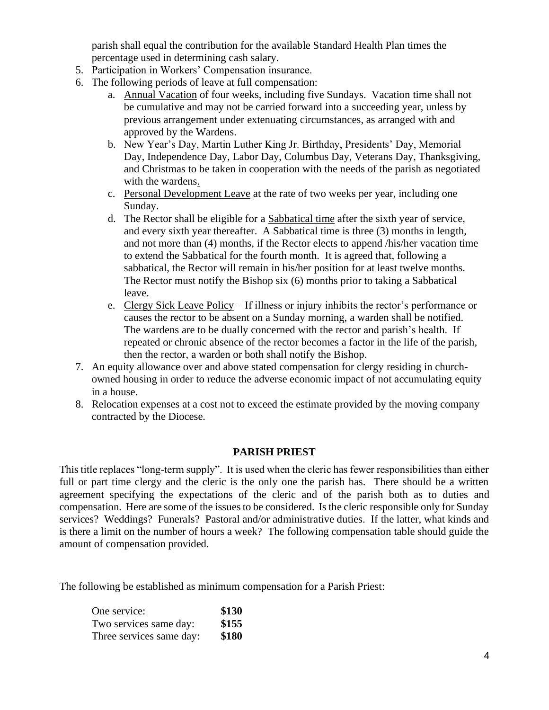parish shall equal the contribution for the available Standard Health Plan times the percentage used in determining cash salary.

- 5. Participation in Workers' Compensation insurance.
- 6. The following periods of leave at full compensation:
	- a. Annual Vacation of four weeks, including five Sundays. Vacation time shall not be cumulative and may not be carried forward into a succeeding year, unless by previous arrangement under extenuating circumstances, as arranged with and approved by the Wardens.
	- b. New Year's Day, Martin Luther King Jr. Birthday, Presidents' Day, Memorial Day, Independence Day, Labor Day, Columbus Day, Veterans Day, Thanksgiving, and Christmas to be taken in cooperation with the needs of the parish as negotiated with the wardens.
	- c. Personal Development Leave at the rate of two weeks per year, including one Sunday.
	- d. The Rector shall be eligible for a Sabbatical time after the sixth year of service, and every sixth year thereafter. A Sabbatical time is three (3) months in length, and not more than (4) months, if the Rector elects to append /his/her vacation time to extend the Sabbatical for the fourth month. It is agreed that, following a sabbatical, the Rector will remain in his/her position for at least twelve months. The Rector must notify the Bishop six (6) months prior to taking a Sabbatical leave.
	- e. Clergy Sick Leave Policy If illness or injury inhibits the rector's performance or causes the rector to be absent on a Sunday morning, a warden shall be notified. The wardens are to be dually concerned with the rector and parish's health. If repeated or chronic absence of the rector becomes a factor in the life of the parish, then the rector, a warden or both shall notify the Bishop.
- 7. An equity allowance over and above stated compensation for clergy residing in churchowned housing in order to reduce the adverse economic impact of not accumulating equity in a house.
- 8. Relocation expenses at a cost not to exceed the estimate provided by the moving company contracted by the Diocese.

### **PARISH PRIEST**

This title replaces "long-term supply". It is used when the cleric has fewer responsibilities than either full or part time clergy and the cleric is the only one the parish has. There should be a written agreement specifying the expectations of the cleric and of the parish both as to duties and compensation. Here are some of the issues to be considered. Is the cleric responsible only for Sunday services? Weddings? Funerals? Pastoral and/or administrative duties. If the latter, what kinds and is there a limit on the number of hours a week? The following compensation table should guide the amount of compensation provided.

The following be established as minimum compensation for a Parish Priest:

| One service:             | \$130 |
|--------------------------|-------|
| Two services same day:   | \$155 |
| Three services same day: | \$180 |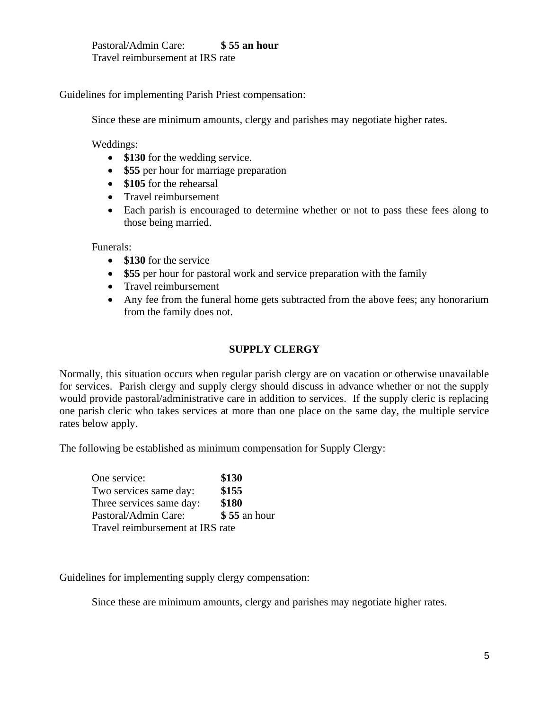Pastoral/Admin Care: **\$ 55 an hour** Travel reimbursement at IRS rate

Guidelines for implementing Parish Priest compensation:

Since these are minimum amounts, clergy and parishes may negotiate higher rates.

Weddings:

- **\$130** for the wedding service.
- **\$55** per hour for marriage preparation
- **\$105** for the rehearsal
- Travel reimbursement
- Each parish is encouraged to determine whether or not to pass these fees along to those being married.

Funerals:

- **\$130** for the service
- **\$55** per hour for pastoral work and service preparation with the family
- Travel reimbursement
- Any fee from the funeral home gets subtracted from the above fees; any honorarium from the family does not.

## **SUPPLY CLERGY**

Normally, this situation occurs when regular parish clergy are on vacation or otherwise unavailable for services. Parish clergy and supply clergy should discuss in advance whether or not the supply would provide pastoral/administrative care in addition to services. If the supply cleric is replacing one parish cleric who takes services at more than one place on the same day, the multiple service rates below apply.

The following be established as minimum compensation for Supply Clergy:

One service: **\$130** Two services same day: **\$155** Three services same day: **\$180** Pastoral/Admin Care: **\$ 55** an hour Travel reimbursement at IRS rate

Guidelines for implementing supply clergy compensation:

Since these are minimum amounts, clergy and parishes may negotiate higher rates.